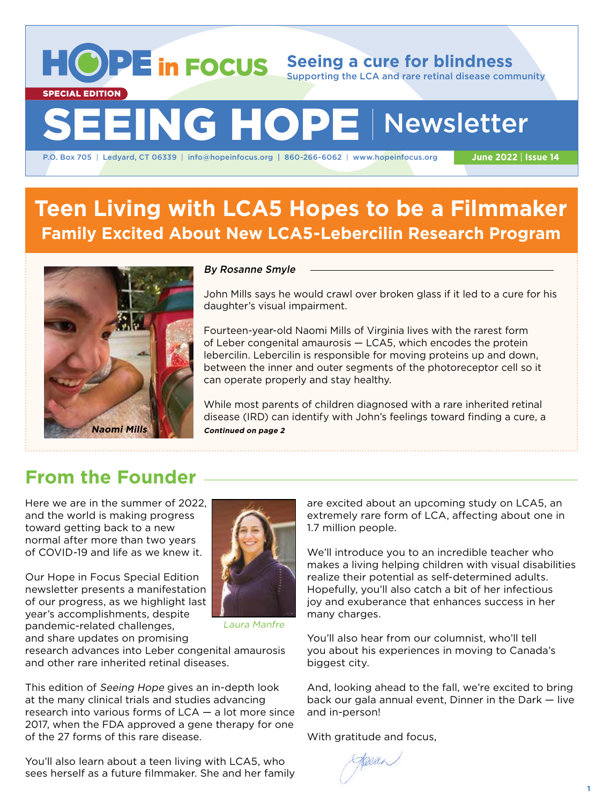**Seeing a cure for blindness** Supporting the LCA and rare retinal disease community SEEING HOPE | Newsletter SPECIAL EDITION

P.O. Box 705 | Ledyard, CT 06339 | info@hopeinfocus.org | 860-266-6062 | www.hopeinfocus.org

**June 2022** | **Issue 14**

# **Teen Living with LCA5 Hopes to be a Filmmaker Family Excited About New LCA5-Lebercilin Research Program**



#### By Rosanne Smyle

John Mills says he would crawl over broken glass if it led to a cure for his daughter's visual impairment.

Fourteen-year-old Naomi Mills of Virginia lives with the rarest form of Leber congenital amaurosis — LCA5, which encodes the protein lebercilin. Lebercilin is responsible for moving proteins up and down, between the inner and outer segments of the photoreceptor cell so it can operate properly and stay healthy.

While most parents of children diagnosed with a rare inherited retinal disease (IRD) can identify with John's feelings toward finding a cure, a

## **From the Founder**

Here we are in the summer of 2022, and the world is making progress toward getting back to a new normal after more than two years of COVID-19 and life as we knew it.

Our Hope in Focus Special Edition newsletter presents a manifestation of our progress, as we highlight last year's accomplishments, despite pandemic-related challenges, and share updates on promising



Laura Manfre

research advances into Leber congenital amaurosis and other rare inherited retinal diseases.

This edition of Seeing Hope gives an in-depth look at the many clinical trials and studies advancing research into various forms of LCA — a lot more since 2017, when the FDA approved a gene therapy for one of the 27 forms of this rare disease.

You'll also learn about a teen living with LCA5, who sees herself as a future filmmaker. She and her family are excited about an upcoming study on LCA5, an extremely rare form of LCA, affecting about one in 1.7 million people.

We'll introduce you to an incredible teacher who makes a living helping children with visual disabilities realize their potential as self-determined adults. Hopefully, you'll also catch a bit of her infectious joy and exuberance that enhances success in her many charges.

You'll also hear from our columnist, who'll tell you about his experiences in moving to Canada's biggest city.

And, looking ahead to the fall, we're excited to bring back our gala annual event, Dinner in the Dark — live and in-person!

With gratitude and focus,

Keller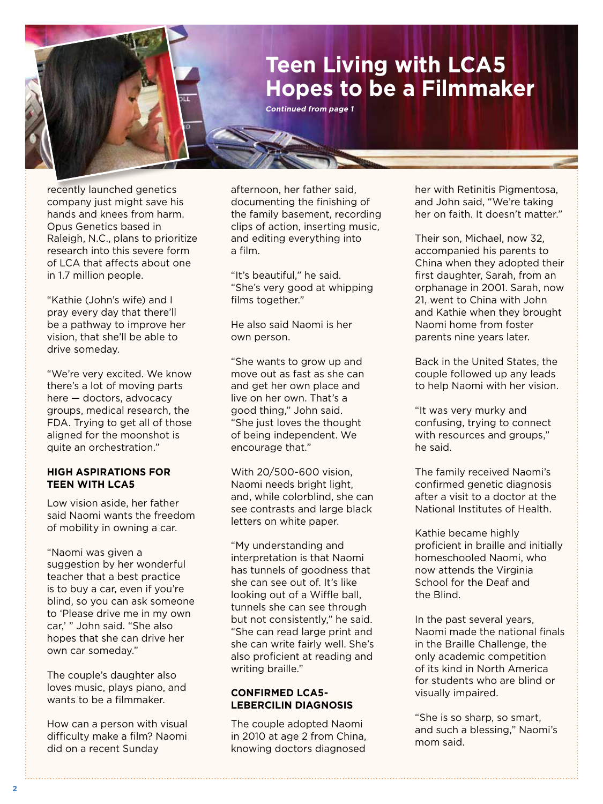# **Teen Living with LCA5 Hopes to be a Filmmaker**

**Continued from page 1**

recently launched genetics company just might save his hands and knees from harm. Opus Genetics based in Raleigh, N.C., plans to prioritize research into this severe form of LCA that affects about one in 1.7 million people.

"Kathie (John's wife) and I pray every day that there'll be a pathway to improve her vision, that she'll be able to drive someday.

"We're very excited. We know there's a lot of moving parts here — doctors, advocacy groups, medical research, the FDA. Trying to get all of those aligned for the moonshot is quite an orchestration."

#### **HIGH ASPIRATIONS FOR TEEN WITH LCA5**

Low vision aside, her father said Naomi wants the freedom of mobility in owning a car.

"Naomi was given a suggestion by her wonderful teacher that a best practice is to buy a car, even if you're blind, so you can ask someone to 'Please drive me in my own car,' " John said. "She also hopes that she can drive her own car someday."

The couple's daughter also loves music, plays piano, and wants to be a filmmaker.

How can a person with visual difficulty make a film? Naomi did on a recent Sunday

afternoon, her father said, documenting the finishing of the family basement, recording clips of action, inserting music, and editing everything into a film.

"It's beautiful," he said. "She's very good at whipping films together."

He also said Naomi is her own person.

"She wants to grow up and move out as fast as she can and get her own place and live on her own. That's a good thing," John said. "She just loves the thought of being independent. We encourage that."

With 20/500-600 vision, Naomi needs bright light, and, while colorblind, she can see contrasts and large black letters on white paper.

"My understanding and interpretation is that Naomi has tunnels of goodness that she can see out of. It's like looking out of a Wiffle ball, tunnels she can see through but not consistently," he said. "She can read large print and she can write fairly well. She's also proficient at reading and writing braille."

### **CONFIRMED LCA5- LEBERCILIN DIAGNOSIS**

The couple adopted Naomi in 2010 at age 2 from China, knowing doctors diagnosed

her with Retinitis Pigmentosa, and John said, "We're taking her on faith. It doesn't matter."

Their son, Michael, now 32, accompanied his parents to China when they adopted their first daughter, Sarah, from an orphanage in 2001. Sarah, now 21, went to China with John and Kathie when they brought Naomi home from foster parents nine years later.

Back in the United States, the couple followed up any leads to help Naomi with her vision.

"It was very murky and confusing, trying to connect with resources and groups," he said.

The family received Naomi's confirmed genetic diagnosis after a visit to a doctor at the National Institutes of Health.

Kathie became highly proficient in braille and initially homeschooled Naomi, who now attends the Virginia School for the Deaf and the Blind.

In the past several years, Naomi made the national finals in the Braille Challenge, the only academic competition of its kind in North America for students who are blind or visually impaired.

"She is so sharp, so smart, and such a blessing," Naomi's mom said.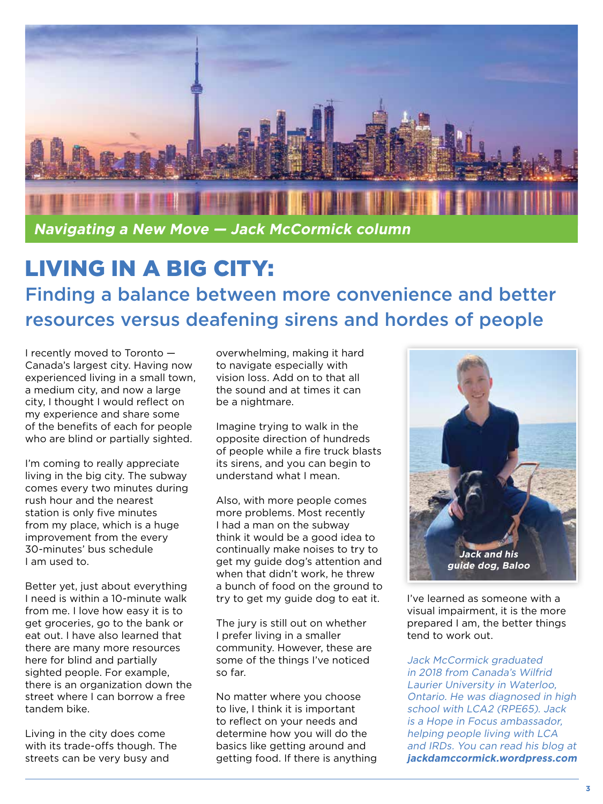

# LIVING IN A BIG CITY: Finding a balance between more convenience and better resources versus deafening sirens and hordes of people

I recently moved to Toronto — Canada's largest city. Having now experienced living in a small town, a medium city, and now a large city, I thought I would reflect on my experience and share some of the benefits of each for people who are blind or partially sighted.

I'm coming to really appreciate living in the big city. The subway comes every two minutes during rush hour and the nearest station is only five minutes from my place, which is a huge improvement from the every 30-minutes' bus schedule I am used to.

Better yet, just about everything I need is within a 10-minute walk from me. I love how easy it is to get groceries, go to the bank or eat out. I have also learned that there are many more resources here for blind and partially sighted people. For example, there is an organization down the street where I can borrow a free tandem bike.

Living in the city does come with its trade-offs though. The streets can be very busy and

overwhelming, making it hard to navigate especially with vision loss. Add on to that all the sound and at times it can be a nightmare.

Imagine trying to walk in the opposite direction of hundreds of people while a fire truck blasts its sirens, and you can begin to understand what I mean.

Also, with more people comes more problems. Most recently I had a man on the subway think it would be a good idea to continually make noises to try to get my guide dog's attention and when that didn't work, he threw a bunch of food on the ground to try to get my guide dog to eat it.

The jury is still out on whether I prefer living in a smaller community. However, these are some of the things I've noticed so far.

No matter where you choose to live, I think it is important to reflect on your needs and determine how you will do the basics like getting around and getting food. If there is anything



I've learned as someone with a visual impairment, it is the more prepared I am, the better things tend to work out.

Jack McCormick graduated in 2018 from Canada's Wilfrid Laurier University in Waterloo, Ontario. He was diagnosed in high school with LCA2 (RPE65). Jack is a Hope in Focus ambassador, helping people living with LCA and IRDs. You can read his blog at **jackdamccormick.wordpress.com**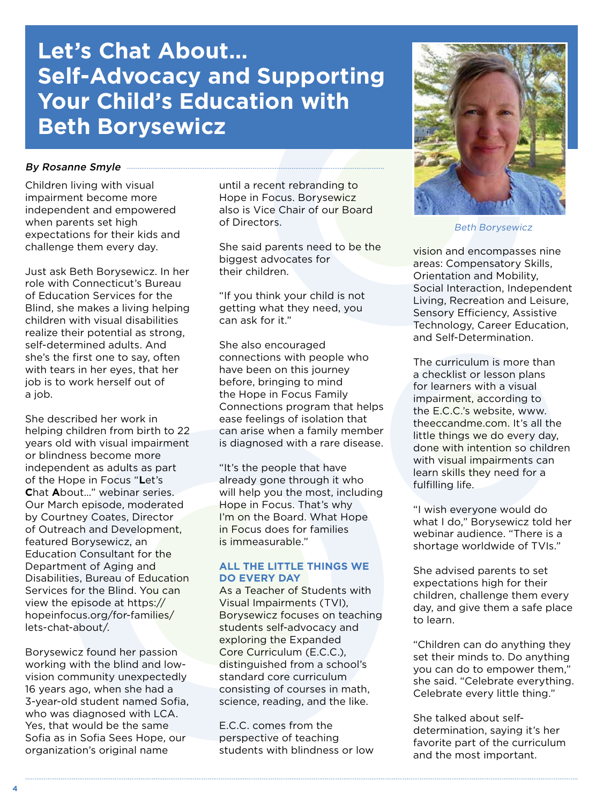# **Let's Chat About… Self-Advocacy and Supporting Your Child's Education with Beth Borysewicz**

#### By Rosanne Smyle **Executive Contract Constant Constant Constant Constant Constant Constant Constant Constant Constant Constant Constant Constant Constant Constant Constant Constant Constant Constant Constant Constant Const**

Children living with visual impairment become more independent and empowered when parents set high expectations for their kids and challenge them every day.

Just ask Beth Borysewicz. In her role with Connecticut's Bureau of Education Services for the Blind, she makes a living helping children with visual disabilities realize their potential as strong, self-determined adults. And she's the first one to say, often with tears in her eyes, that her job is to work herself out of a job.

She described her work in helping children from birth to 22 years old with visual impairment or blindness become more independent as adults as part of the Hope in Focus "**L**et's **C**hat **A**bout…" webinar series. Our March episode, moderated by Courtney Coates, Director of Outreach and Development, featured Borysewicz, an Education Consultant for the Department of Aging and Disabilities, Bureau of Education Services for the Blind. You can view the episode at https:// hopeinfocus.org/for-families/ lets-chat-about/.

Borysewicz found her passion working with the blind and lowvision community unexpectedly 16 years ago, when she had a 3-year-old student named Sofia, who was diagnosed with LCA. Yes, that would be the same Sofia as in Sofia Sees Hope, our organization's original name

until a recent rebranding to Hope in Focus. Borysewicz also is Vice Chair of our Board of Directors.

She said parents need to be the biggest advocates for their children.

"If you think your child is not getting what they need, you can ask for it."

She also encouraged connections with people who have been on this journey before, bringing to mind the Hope in Focus Family Connections program that helps ease feelings of isolation that can arise when a family member is diagnosed with a rare disease.

"It's the people that have already gone through it who will help you the most, including Hope in Focus. That's why I'm on the Board. What Hope in Focus does for families is immeasurable."

### **ALL THE LITTLE THINGS WE DO EVERY DAY**

As a Teacher of Students with Visual Impairments (TVI), Borysewicz focuses on teaching students self-advocacy and exploring the Expanded Core Curriculum (E.C.C.), distinguished from a school's standard core curriculum consisting of courses in math, science, reading, and the like.

E.C.C. comes from the perspective of teaching students with blindness or low



Beth Borysewicz

vision and encompasses nine areas: Compensatory Skills, Orientation and Mobility, Social Interaction, Independent Living, Recreation and Leisure, Sensory Efficiency, Assistive Technology, Career Education, and Self-Determination.

The curriculum is more than a checklist or lesson plans for learners with a visual impairment, according to the E.C.C.'s website, www. theeccandme.com. It's all the little things we do every day, done with intention so children with visual impairments can learn skills they need for a fulfilling life.

"I wish everyone would do what I do," Borysewicz told her webinar audience. "There is a shortage worldwide of TVIs."

She advised parents to set expectations high for their children, challenge them every day, and give them a safe place to learn.

"Children can do anything they set their minds to. Do anything you can do to empower them," she said. "Celebrate everything. Celebrate every little thing."

She talked about selfdetermination, saying it's her favorite part of the curriculum and the most important.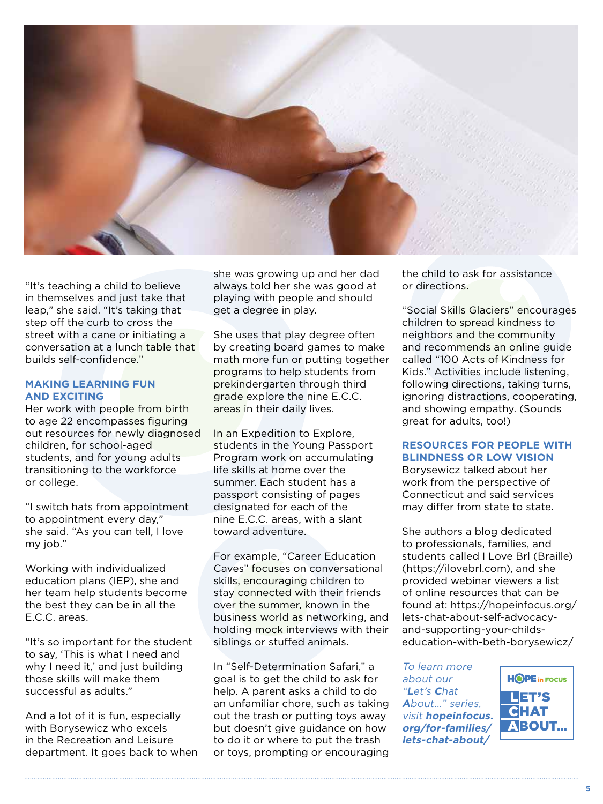

"It's teaching a child to believe in themselves and just take that leap," she said. "It's taking that step off the curb to cross the street with a cane or initiating a conversation at a lunch table that builds self-confidence."

#### **MAKING LEARNING FUN AND EXCITING**

Her work with people from birth to age 22 encompasses figuring out resources for newly diagnosed children, for school-aged students, and for young adults transitioning to the workforce or college.

"I switch hats from appointment to appointment every day," she said. "As you can tell, I love my job."

Working with individualized education plans (IEP), she and her team help students become the best they can be in all the E.C.C. areas.

"It's so important for the student to say, 'This is what I need and why I need it,' and just building those skills will make them successful as adults."

And a lot of it is fun, especially with Borysewicz who excels in the Recreation and Leisure department. It goes back to when she was growing up and her dad always told her she was good at playing with people and should get a degree in play.

She uses that play degree often by creating board games to make math more fun or putting together programs to help students from prekindergarten through third grade explore the nine E.C.C. areas in their daily lives.

In an Expedition to Explore, students in the Young Passport Program work on accumulating life skills at home over the summer. Each student has a passport consisting of pages designated for each of the nine E.C.C. areas, with a slant toward adventure.

For example, "Career Education Caves" focuses on conversational skills, encouraging children to stay connected with their friends over the summer, known in the business world as networking, and holding mock interviews with their siblings or stuffed animals.

In "Self-Determination Safari," a goal is to get the child to ask for help. A parent asks a child to do an unfamiliar chore, such as taking out the trash or putting toys away but doesn't give guidance on how to do it or where to put the trash or toys, prompting or encouraging the child to ask for assistance or directions.

"Social Skills Glaciers" encourages children to spread kindness to neighbors and the community and recommends an online guide called "100 Acts of Kindness for Kids." Activities include listening, following directions, taking turns, ignoring distractions, cooperating, and showing empathy. (Sounds great for adults, too!)

### **RESOURCES FOR PEOPLE WITH BLINDNESS OR LOW VISION**

Borysewicz talked about her work from the perspective of Connecticut and said services may differ from state to state.

She authors a blog dedicated to professionals, families, and students called I Love Brl (Braille) (https://ilovebrl.com), and she provided webinar viewers a list of online resources that can be found at: https://hopeinfocus.org/ lets-chat-about-self-advocacyand-supporting-your-childseducation-with-beth-borysewicz/

To learn more about our "**L**et's **C**hat **A**bout..." series, visit **hopeinfocus. org/for-families/ lets-chat-about/**

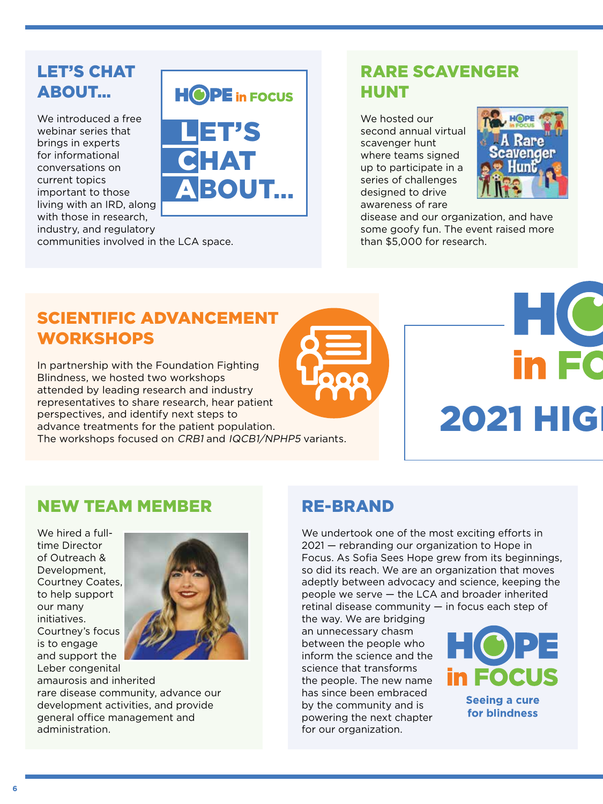## LET'S CHAT ABOUT…

We introduced a free webinar series that brings in experts for informational conversations on current topics important to those living with an IRD, along with those in research, industry, and regulatory

communities involved in the LCA space.

## RARE SCAVENGER HUNT

We hosted our second annual virtual scavenger hunt where teams signed up to participate in a series of challenges designed to drive awareness of rare



disease and our organization, and have some goofy fun. The event raised more than \$5,000 for research.

## SCIENTIFIC ADVANCEMENT **WORKSHOPS**

In partnership with the Foundation Fighting Blindness, we hosted two workshops attended by leading research and industry representatives to share research, hear patient perspectives, and identify next steps to advance treatments for the patient population. The workshops focused on CRB1 and IQCB1/NPHP5 variants.

L

ET'S

**HOPE** in FOCUS

HAT

BOUT**...**

C

A



# HC **2021 HIGH**

## NEW TEAM MEMBER

We hired a fulltime Director of Outreach & Development, Courtney Coates, to help support our many initiatives. Courtney's focus is to engage and support the Leber congenital



amaurosis and inherited rare disease community, advance our development activities, and provide general office management and administration.

## RE-BRAND

We undertook one of the most exciting efforts in 2021 — rebranding our organization to Hope in Focus. As Sofia Sees Hope grew from its beginnings, so did its reach. We are an organization that moves adeptly between advocacy and science, keeping the people we serve — the LCA and broader inherited retinal disease community  $-$  in focus each step of

the way. We are bridging an unnecessary chasm between the people who inform the science and the science that transforms the people. The new name has since been embraced by the community and is powering the next chapter for our organization.

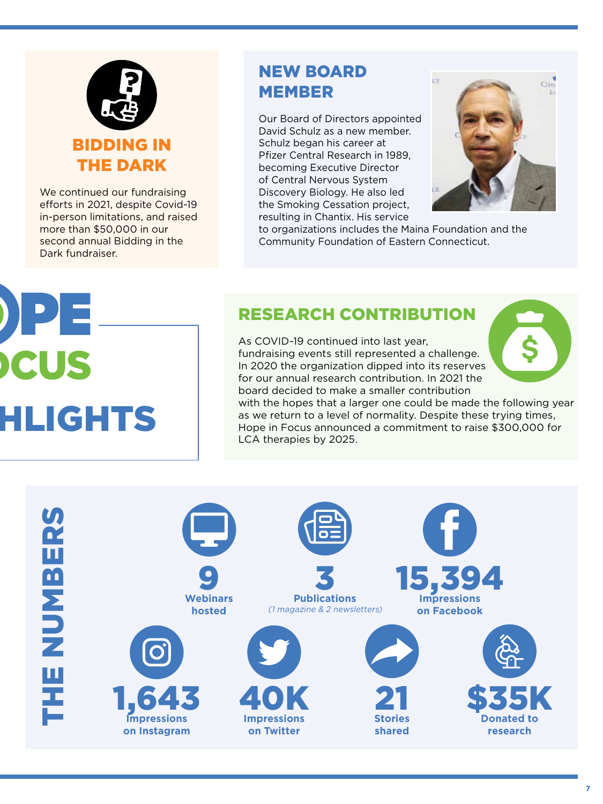

We continued our fundraising efforts in 2021, despite Covid-19 in-person limitations, and raised more than \$50,000 in our second annual Bidding in the Dark fundraiser.

## NEW BOARD MEMBER

Our Board of Directors appointed David Schulz as a new member. Schulz began his career at Pfizer Central Research in 1989, becoming Executive Director of Central Nervous System Discovery Biology. He also led the Smoking Cessation project, resulting in Chantix. His service



to organizations includes the Maina Foundation and the Community Foundation of Eastern Connecticut.

# RESEARCH CONTRIBUTION

As COVID-19 continued into last year, fundraising events still represented a challenge. In 2020 the organization dipped into its reserves for our annual research contribution. In 2021 the board decided to make a smaller contribution



with the hopes that a larger one could be made the following year as we return to a level of normality. Despite these trying times, Hope in Focus announced a commitment to raise \$300,000 for LCA therapies by 2025.

**HLIGHTS** 

PE

US

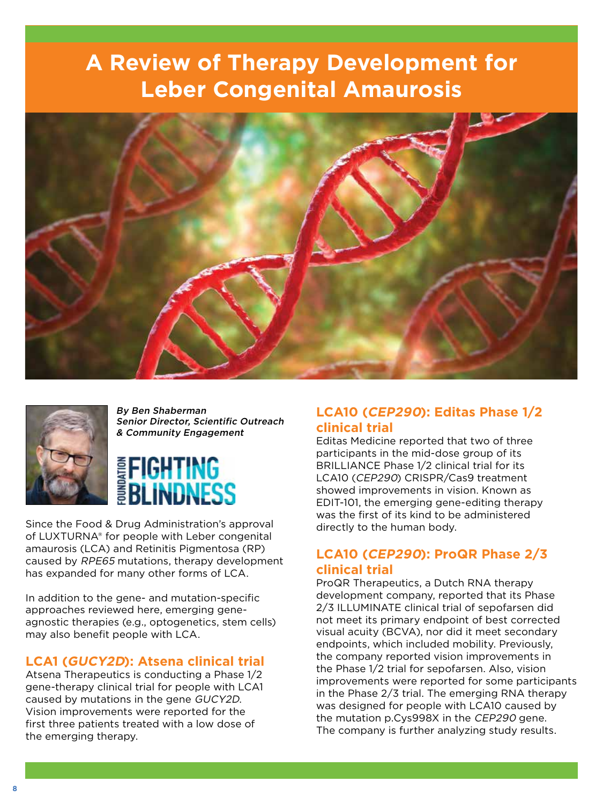# **A Review of Therapy Development for Leber Congenital Amaurosis**





By Ben Shaberman Senior Director, Scientific Outreach & Community Engagement

# **EFIGHTING<br>BELINDNESS**

Since the Food & Drug Administration's approval of LUXTURNA® for people with Leber congenital amaurosis (LCA) and Retinitis Pigmentosa (RP) caused by RPE65 mutations, therapy development has expanded for many other forms of LCA.

In addition to the gene- and mutation-specific approaches reviewed here, emerging geneagnostic therapies (e.g., optogenetics, stem cells) may also benefit people with LCA.

## **LCA1 (GUCY2D): Atsena clinical trial**

Atsena Therapeutics is conducting a Phase 1/2 gene-therapy clinical trial for people with LCA1 caused by mutations in the gene GUCY2D. Vision improvements were reported for the first three patients treated with a low dose of the emerging therapy.

## **LCA10 (CEP290): Editas Phase 1/2 clinical trial**

Editas Medicine reported that two of three participants in the mid-dose group of its BRILLIANCE Phase 1/2 clinical trial for its LCA10 (CEP290) CRISPR/Cas9 treatment showed improvements in vision. Known as EDIT-101, the emerging gene-editing therapy was the first of its kind to be administered directly to the human body.

## **LCA10 (CEP290): ProQR Phase 2/3 clinical trial**

ProQR Therapeutics, a Dutch RNA therapy development company, reported that its Phase 2/3 ILLUMINATE clinical trial of sepofarsen did not meet its primary endpoint of best corrected visual acuity (BCVA), nor did it meet secondary endpoints, which included mobility. Previously, the company reported vision improvements in the Phase 1/2 trial for sepofarsen. Also, vision improvements were reported for some participants in the Phase 2/3 trial. The emerging RNA therapy was designed for people with LCA10 caused by the mutation p.Cys998X in the CEP290 gene. The company is further analyzing study results.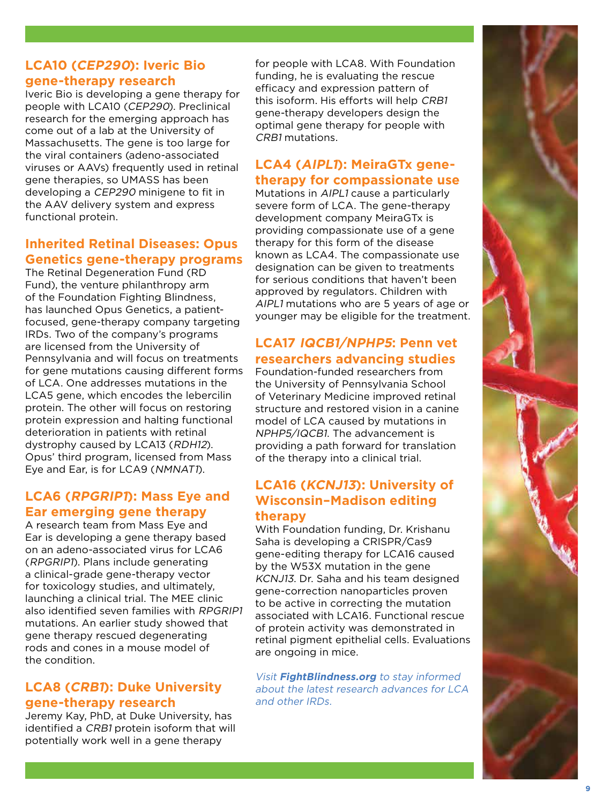## **LCA10 (CEP290): Iveric Bio gene-therapy research**

Iveric Bio is developing a gene therapy for people with LCA10 (CEP290). Preclinical research for the emerging approach has come out of a lab at the University of Massachusetts. The gene is too large for the viral containers (adeno-associated viruses or AAVs) frequently used in retinal gene therapies, so UMASS has been developing a CEP290 minigene to fit in the AAV delivery system and express functional protein.

## **Inherited Retinal Diseases: Opus Genetics gene-therapy programs**

The Retinal Degeneration Fund (RD Fund), the venture philanthropy arm of the Foundation Fighting Blindness, has launched Opus Genetics, a patientfocused, gene-therapy company targeting IRDs. Two of the company's programs are licensed from the University of Pennsylvania and will focus on treatments for gene mutations causing different forms of LCA. One addresses mutations in the LCA5 gene, which encodes the lebercilin protein. The other will focus on restoring protein expression and halting functional deterioration in patients with retinal dystrophy caused by LCA13 (RDH12). Opus' third program, licensed from Mass Eye and Ear, is for LCA9 (NMNAT1).

## **LCA6 (RPGRIP1): Mass Eye and Ear emerging gene therapy**

A research team from Mass Eye and Ear is developing a gene therapy based on an adeno-associated virus for LCA6 (RPGRIP1). Plans include generating a clinical-grade gene-therapy vector for toxicology studies, and ultimately, launching a clinical trial. The MEE clinic also identified seven families with RPGRIP1 mutations. An earlier study showed that gene therapy rescued degenerating rods and cones in a mouse model of the condition.

## **LCA8 (CRB1): Duke University gene-therapy research**

Jeremy Kay, PhD, at Duke University, has identified a CRB1 protein isoform that will potentially work well in a gene therapy

for people with LCA8. With Foundation funding, he is evaluating the rescue efficacy and expression pattern of this isoform. His efforts will help CRB1 gene-therapy developers design the optimal gene therapy for people with CRB1 mutations.

## **LCA4 (AIPL1): MeiraGTx genetherapy for compassionate use**

Mutations in AIPL1 cause a particularly severe form of LCA. The gene-therapy development company MeiraGTx is providing compassionate use of a gene therapy for this form of the disease known as LCA4. The compassionate use designation can be given to treatments for serious conditions that haven't been approved by regulators. Children with AIPL1 mutations who are 5 years of age or younger may be eligible for the treatment.

## **LCA17 IQCB1/NPHP5: Penn vet researchers advancing studies**

Foundation-funded researchers from the University of Pennsylvania School of Veterinary Medicine improved retinal structure and restored vision in a canine model of LCA caused by mutations in NPHP5/IQCB1. The advancement is providing a path forward for translation of the therapy into a clinical trial.

## **LCA16 (KCNJ13): University of Wisconsin–Madison editing therapy**

With Foundation funding, Dr. Krishanu Saha is developing a CRISPR/Cas9 gene-editing therapy for LCA16 caused by the W53X mutation in the gene KCNJ13. Dr. Saha and his team designed gene-correction nanoparticles proven to be active in correcting the mutation associated with LCA16. Functional rescue of protein activity was demonstrated in retinal pigment epithelial cells. Evaluations are ongoing in mice.

Visit **FightBlindness.org** to stay informed about the latest research advances for LCA and other IRDs.

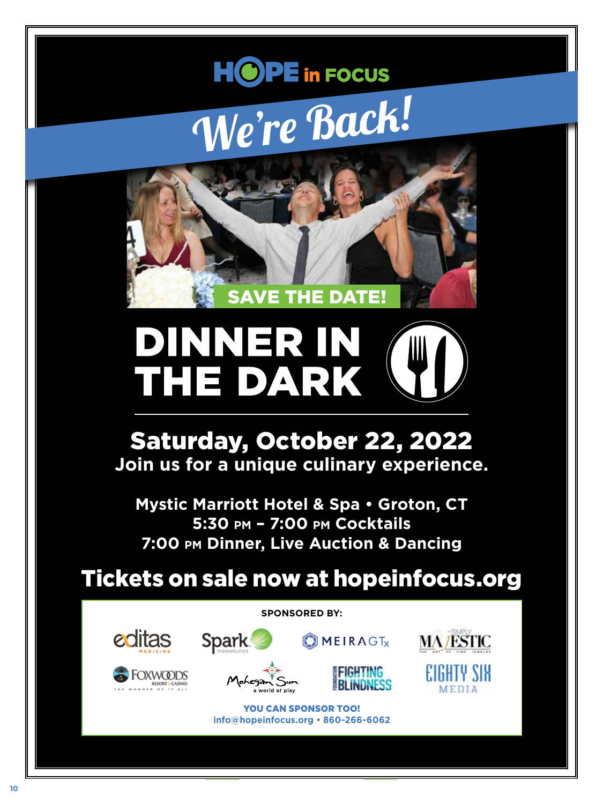# **HOPE** in FOCUS We're Back!



# DINNER IN THE DA IP)

# Saturday, October 22, 2022 **Join us for a unique culinary experience.**

**Mystic Marriott Hotel & Spa • Groton, CT 5:30 pm – 7:00 pm Cocktails 7:00 pm Dinner, Live Auction & Dancing**

Tickets on sale now at hopeinfocus.org

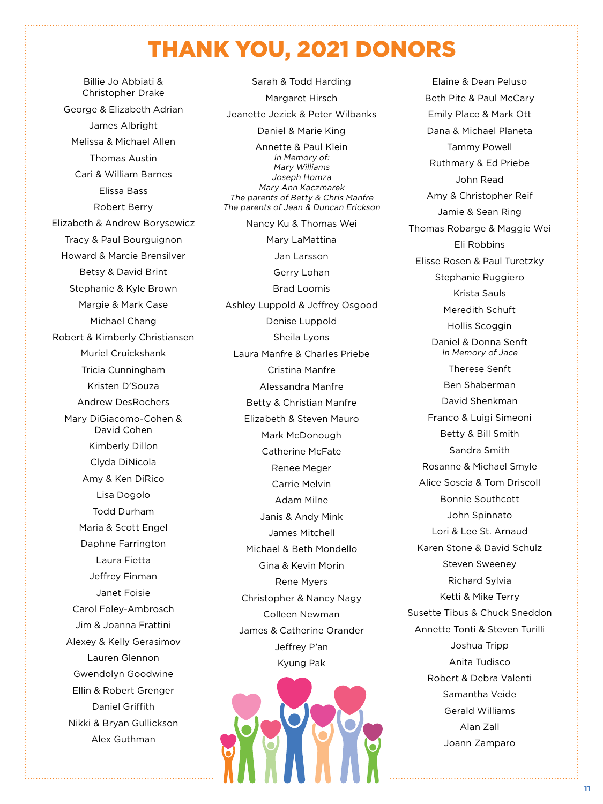# THANK YOU, 2021 DONORS

Billie Jo Abbiati & Christopher Drake George & Elizabeth Adrian James Albright Melissa & Michael Allen Thomas Austin Cari & William Barnes Elissa Bass Robert Berry Elizabeth & Andrew Borysewicz Tracy & Paul Bourguignon Howard & Marcie Brensilver Betsy & David Brint Stephanie & Kyle Brown Margie & Mark Case Michael Chang Robert & Kimberly Christiansen Muriel Cruickshank Tricia Cunningham Kristen D'Souza Andrew DesRochers Mary DiGiacomo-Cohen & David Cohen Kimberly Dillon Clyda DiNicola Amy & Ken DiRico Lisa Dogolo Todd Durham Maria & Scott Engel Daphne Farrington Laura Fietta Jeffrey Finman Janet Foisie Carol Foley-Ambrosch Jim & Joanna Frattini Alexey & Kelly Gerasimov Lauren Glennon Gwendolyn Goodwine Ellin & Robert Grenger Daniel Griffith Nikki & Bryan Gullickson Alex Guthman

Sarah & Todd Harding Margaret Hirsch Jeanette Jezick & Peter Wilbanks Daniel & Marie King Annette & Paul Klein In Memory of: Mary Williams Joseph Homza Mary Ann Kaczmarek The parents of Betty & Chris Manfre The parents of Jean & Duncan Erickson Nancy Ku & Thomas Wei Mary LaMattina Jan Larsson Gerry Lohan Brad Loomis Ashley Luppold & Jeffrey Osgood Denise Luppold Sheila Lyons Laura Manfre & Charles Priebe Cristina Manfre Alessandra Manfre Betty & Christian Manfre Elizabeth & Steven Mauro Mark McDonough Catherine McFate Renee Meger Carrie Melvin Adam Milne Janis & Andy Mink James Mitchell Michael & Beth Mondello Gina & Kevin Morin Rene Myers Christopher & Nancy Nagy Colleen Newman James & Catherine Orander Jeffrey P'an Kyung Pak



Beth Pite & Paul McCary Emily Place & Mark Ott Dana & Michael Planeta Tammy Powell Ruthmary & Ed Priebe John Read Amy & Christopher Reif Jamie & Sean Ring Thomas Robarge & Maggie Wei Eli Robbins Elisse Rosen & Paul Turetzky Stephanie Ruggiero Krista Sauls Meredith Schuft Hollis Scoggin Daniel & Donna Senft In Memory of Jace Therese Senft Ben Shaberman David Shenkman Franco & Luigi Simeoni Betty & Bill Smith Sandra Smith Rosanne & Michael Smyle Alice Soscia & Tom Driscoll Bonnie Southcott John Spinnato Lori & Lee St. Arnaud Karen Stone & David Schulz Steven Sweeney Richard Sylvia Ketti & Mike Terry Susette Tibus & Chuck Sneddon Annette Tonti & Steven Turilli Joshua Tripp Anita Tudisco Robert & Debra Valenti Samantha Veide Gerald Williams Alan Zall Joann Zamparo

Elaine & Dean Peluso